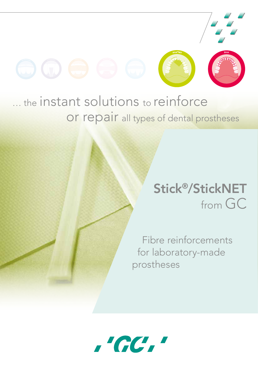

## ... the instant solutions to reinforce or repair all types of dental prostheses

## Stick®/StickNET from GC

Fibre reinforcements for laboratory-made prostheses

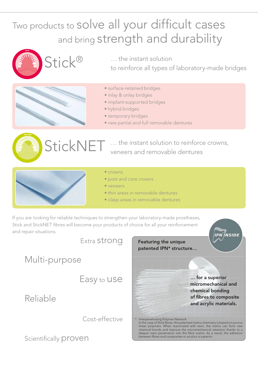### Two products to solve all your difficult cases and bring strength and durability



… the instant solution

to reinforce all types of laboratory-made bridges



- surface-retained bridges
- inlay & onlay bridges
- implant-supported bridges
- hybrid bridges
- temporary bridges
- new partial and full removable dentures





… the instant solution to reinforce crowns, veneers and removable dentures



#### • crowns

- post and core crowns
- veneers
- thin areas in removable dentures
- clasp areas in removable dentures

If you are looking for reliable techniques to strengthen your laboratory-made prostheses, Stick and StickNET fibres will become your products of choice for all your reinforcement and repair situations.

Extra strong

Multi-purpose

Easy to use

Reliable

Cost-effective

Scientifically proven



**IPN INSIDE**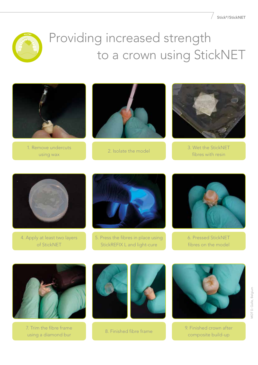

# Providing increased strength to a crown using StickNET



1. Remove undercuts using wax





2. Isolate the model 3. Wet the StickNET fibres with resin



4. Apply at least two layers of StickNET



5. Press the fibres in place using StickREFIX L and light-cure



6. Pressed StickNET fibres on the model



7. Trim the fibre frame Trim the fibre frame 1990 - 1991 - 1991 - 1991 - 1991 - 1991 - 1991 - 1991 - 1991 - 1991 - 1991 - 1991 - 1991<br>Using a diamond bur 1991 - 1991 - 1991 - 1991 - 1991 - 1991 - 1991 - 1991 - 1991 - 1991 - 1991 - 1991 - 1991 -





composite build-up